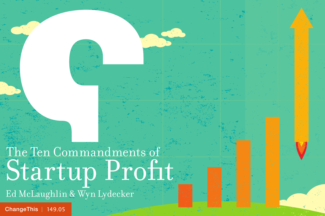# The Ten Commandments of Startup Profit

Ed McLaughlin & Wyn Lydecker

[ChangeThis](http://changethis.com) | 149.05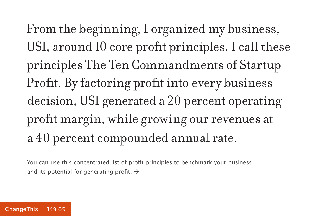From the beginning, I organized my business, USI, around 10 core profit principles. I call these principles The Ten Commandments of Startup Profit. By factoring profit into every business decision, USI generated a 20 percent operating profit margin, while growing our revenues at a 40 percent compounded annual rate.

You can use this concentrated list of profit principles to benchmark your business and its potential for generating profit.  $\rightarrow$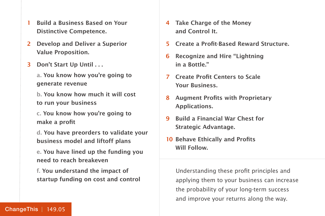- **1 Build a Business Based on Your Distinctive Competence.**
- **2 Develop and Deliver a Superior Value Proposition.**
- **3 Don't Start Up Until . . .**

**a. You know how you're going to generate revenue**

**b. You know how much it will cost to run your business**

**c. You know how you're going to make a profit**

**d. You have preorders to validate your business model and liftoff plans**

**e. You have lined up the funding you need to reach breakeven**

**f. You understand the impact of startup funding on cost and control**

- **4 Take Charge of the Money and Control It.**
- **5 Create a Profit-Based Reward Structure.**
- **6 Recognize and Hire "Lightning in a Bottle."**
- **7 Create Profit Centers to Scale Your Business.**
- **8 Augment Profits with Proprietary Applications.**
- **9 Build a Financial War Chest for Strategic Advantage.**
- **10 Behave Ethically and Profits Will Follow.**

Understanding these profit principles and applying them to your business can increase the probability of your long-term success and improve your returns along the way.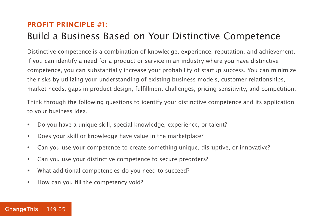### **PROFIT PRINCIPLE #1:** Build a Business Based on Your Distinctive Competence

Distinctive competence is a combination of knowledge, experience, reputation, and achievement. If you can identify a need for a product or service in an industry where you have distinctive competence, you can substantially increase your probability of startup success. You can minimize the risks by utilizing your understanding of existing business models, customer relationships, market needs, gaps in product design, fulfillment challenges, pricing sensitivity, and competition.

Think through the following questions to identify your distinctive competence and its application to your business idea.

- Do you have a unique skill, special knowledge, experience, or talent?
- Does your skill or knowledge have value in the marketplace?
- Can you use your competence to create something unique, disruptive, or innovative?
- Can you use your distinctive competence to secure preorders?
- What additional competencies do you need to succeed?
- How can you fill the competency void?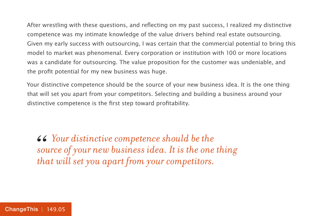After wrestling with these questions, and reflecting on my past success, I realized my distinctive competence was my intimate knowledge of the value drivers behind real estate outsourcing. Given my early success with outsourcing, I was certain that the commercial potential to bring this model to market was phenomenal. Every corporation or institution with 100 or more locations was a candidate for outsourcing. The value proposition for the customer was undeniable, and the profit potential for my new business was huge.

Your distinctive competence should be the source of your new business idea. It is the one thing that will set you apart from your competitors. Selecting and building a business around your distinctive competence is the first step toward profitability.

*44 Your distinctive competence should be the source of your new business idea. It is the one that will set you apart from your competitors. source of your new business idea. It is the one thing that will set you apart from your competitors.*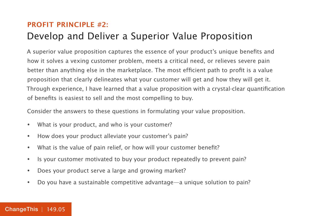### **PROFIT PRINCIPLE #2:** Develop and Deliver a Superior Value Proposition

A superior value proposition captures the essence of your product's unique benefits and how it solves a vexing customer problem, meets a critical need, or relieves severe pain better than anything else in the marketplace. The most efficient path to profit is a value proposition that clearly delineates what your customer will get and how they will get it. Through experience, I have learned that a value proposition with a crystal-clear quantification of benefits is easiest to sell and the most compelling to buy.

Consider the answers to these questions in formulating your value proposition.

- What is your product, and who is your customer?
- How does your product alleviate your customer's pain?
- What is the value of pain relief, or how will your customer benefit?
- Is your customer motivated to buy your product repeatedly to prevent pain?
- Does your product serve a large and growing market?
- Do you have a sustainable competitive advantage—a unique solution to pain?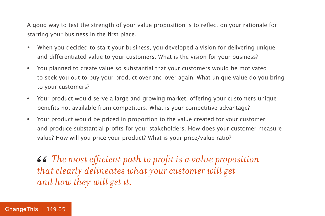A good way to test the strength of your value proposition is to reflect on your rationale for starting your business in the first place.

- When you decided to start your business, you developed a vision for delivering unique and differentiated value to your customers. What is the vision for your business?
- You planned to create value so substantial that your customers would be motivated to seek you out to buy your product over and over again. What unique value do you bring to your customers?
- Your product would serve a large and growing market, offering your customers unique benefits not available from competitors. What is your competitive advantage?
- Your product would be priced in proportion to the value created for your customer and produce substantial profits for your stakeholders. How does your customer measure value? How will you price your product? What is your price/value ratio?

 *The most efficient path to profit is a value proposition that clearly delineates what your customer will get and how they will get it.* 66<br>the<br>an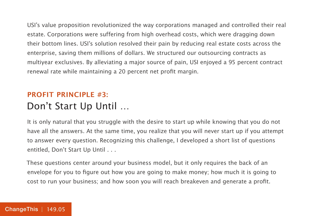USI's value proposition revolutionized the way corporations managed and controlled their real estate. Corporations were suffering from high overhead costs, which were dragging down their bottom lines. USI's solution resolved their pain by reducing real estate costs across the enterprise, saving them millions of dollars. We structured our outsourcing contracts as multiyear exclusives. By alleviating a major source of pain, USI enjoyed a 95 percent contract renewal rate while maintaining a 20 percent net profit margin.

### **PROFIT PRINCIPLE #3:** Don't Start Up Until …

It is only natural that you struggle with the desire to start up while knowing that you do not have all the answers. At the same time, you realize that you will never start up if you attempt to answer every question. Recognizing this challenge, I developed a short list of questions entitled, Don't Start Up Until . . .

These questions center around your business model, but it only requires the back of an envelope for you to figure out how you are going to make money; how much it is going to cost to run your business; and how soon you will reach breakeven and generate a profit.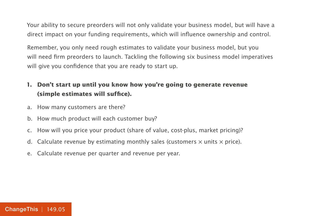Your ability to secure preorders will not only validate your business model, but will have a direct impact on your funding requirements, which will influence ownership and control.

Remember, you only need rough estimates to validate your business model, but you will need firm preorders to launch. Tackling the following six business model imperatives will give you confidence that you are ready to start up.

#### **1. Don't start up until you know how you're going to generate revenue (simple estimates will suffice).**

- a. How many customers are there?
- b. How much product will each customer buy?
- c. How will you price your product (share of value, cost-plus, market pricing)?
- d. Calculate revenue by estimating monthly sales (customers  $\times$  units  $\times$  price).
- e. Calculate revenue per quarter and revenue per year.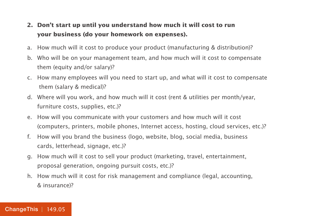#### **2. Don't start up until you understand how much it will cost to run your business (do your homework on expenses).**

- a. How much will it cost to produce your product (manufacturing & distribution)?
- b. Who will be on your management team, and how much will it cost to compensate them (equity and/or salary)?
- c. How many employees will you need to start up, and what will it cost to compensate them (salary & medical)?
- d. Where will you work, and how much will it cost (rent & utilities per month/year, furniture costs, supplies, etc.)?
- e. How will you communicate with your customers and how much will it cost (computers, printers, mobile phones, Internet access, hosting, cloud services, etc.)?
- f. How will you brand the business (logo, website, blog, social media, business cards, letterhead, signage, etc.)?
- g. How much will it cost to sell your product (marketing, travel, entertainment, proposal generation, ongoing pursuit costs, etc.)?
- h. How much will it cost for risk management and compliance (legal, accounting, & insurance)?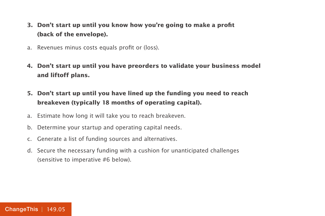- **3. Don't start up until you know how you're going to make a profit (back of the envelope).**
- a. Revenues minus costs equals profit or (loss).
- **4. Don't start up until you have preorders to validate your business model and liftoff plans.**
- **5. Don't start up until you have lined up the funding you need to reach breakeven (typically 18 months of operating capital).**
- a. Estimate how long it will take you to reach breakeven.
- b. Determine your startup and operating capital needs.
- c. Generate a list of funding sources and alternatives.
- d. Secure the necessary funding with a cushion for unanticipated challenges (sensitive to imperative #6 below).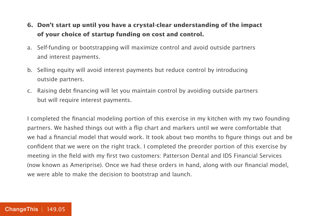#### **6. Don't start up until you have a crystal-clear understanding of the impact of your choice of startup funding on cost and control.**

- a. Self-funding or bootstrapping will maximize control and avoid outside partners and interest payments.
- b. Selling equity will avoid interest payments but reduce control by introducing outside partners.
- c. Raising debt financing will let you maintain control by avoiding outside partners but will require interest payments.

I completed the financial modeling portion of this exercise in my kitchen with my two founding partners. We hashed things out with a flip chart and markers until we were comfortable that we had a financial model that would work. It took about two months to figure things out and be confident that we were on the right track. I completed the preorder portion of this exercise by meeting in the field with my first two customers: Patterson Dental and IDS Financial Services (now known as Ameriprise). Once we had these orders in hand, along with our financial model, we were able to make the decision to bootstrap and launch.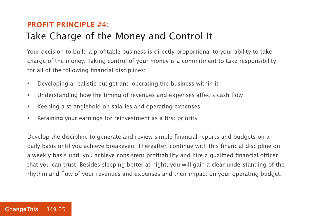### **PROFIT PRINCIPLE #4:** Take Charge of the Money and Control It

Your decision to build a profitable business is directly proportional to your ability to take charge of the money. Taking control of your money is a commitment to take responsibility for all of the following financial disciplines:

- Developing a realistic budget and operating the business within it
- Understanding how the timing of revenues and expenses affects cash flow
- Keeping a stranglehold on salaries and operating expenses
- Retaining your earnings for reinvestment as a first priority

Develop the discipline to generate and review simple financial reports and budgets on a daily basis until you achieve breakeven. Thereafter, continue with this financial discipline on a weekly basis until you achieve consistent profitability and hire a qualified financial officer that you can trust. Besides sleeping better at night, you will gain a clear understanding of the rhythm and flow of your revenues and expenses and their impact on your operating budget.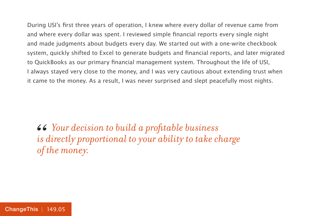During USI's first three years of operation, I knew where every dollar of revenue came from and where every dollar was spent. I reviewed simple financial reports every single night and made judgments about budgets every day. We started out with a one-write checkbook system, quickly shifted to Excel to generate budgets and financial reports, and later migrated to QuickBooks as our primary financial management system. Throughout the life of USI, I always stayed very close to the money, and I was very cautious about extending trust when it came to the money. As a result, I was never surprised and slept peacefully most nights.

 *Your decision to build a profitable business is directly proportional to your ability to take charge of the money.*  66<br>*is*<br>of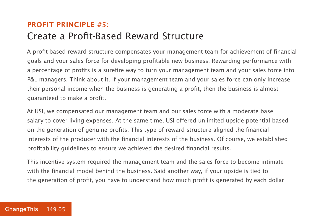#### **PROFIT PRINCIPLE #5:** Create a Profit-Based Reward Structure

A profit-based reward structure compensates your management team for achievement of financial goals and your sales force for developing profitable new business. Rewarding performance with a percentage of profits is a surefire way to turn your management team and your sales force into P&L managers. Think about it. If your management team and your sales force can only increase their personal income when the business is generating a profit, then the business is almost guaranteed to make a profit.

At USI, we compensated our management team and our sales force with a moderate base salary to cover living expenses. At the same time, USI offered unlimited upside potential based on the generation of genuine profits. This type of reward structure aligned the financial interests of the producer with the financial interests of the business. Of course, we established profitability guidelines to ensure we achieved the desired financial results.

This incentive system required the management team and the sales force to become intimate with the financial model behind the business. Said another way, if your upside is tied to the generation of profit, you have to understand how much profit is generated by each dollar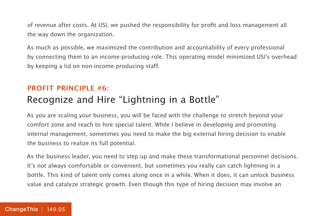of revenue after costs. At USI, we pushed the responsibility for profit and loss management all the way down the organization.

As much as possible, we maximized the contribution and accountability of every professional by connecting them to an income-producing role. This operating model minimized USI's overhead by keeping a lid on non-income-producing staff.

#### **PROFIT PRINCIPLE #6:** Recognize and Hire "Lightning in a Bottle"

As you are scaling your business, you will be faced with the challenge to stretch beyond your comfort zone and reach to hire special talent. While I believe in developing and promoting internal management, sometimes you need to make the big external hiring decision to enable the business to realize its full potential.

As the business leader, you need to step up and make these transformational personnel decisions. It's not always comfortable or convenient, but sometimes you really can catch lightning in a bottle. This kind of talent only comes along once in a while. When it does, it can unlock business value and catalyze strategic growth. Even though this type of hiring decision may involve an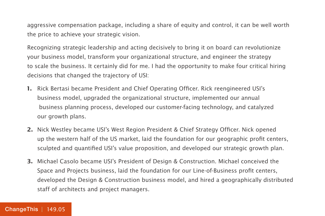aggressive compensation package, including a share of equity and control, it can be well worth the price to achieve your strategic vision.

Recognizing strategic leadership and acting decisively to bring it on board can revolutionize your business model, transform your organizational structure, and engineer the strategy to scale the business. It certainly did for me. I had the opportunity to make four critical hiring decisions that changed the trajectory of USI:

- **1.** Rick Bertasi became President and Chief Operating Officer. Rick reengineered USI's business model, upgraded the organizational structure, implemented our annual business planning process, developed our customer-facing technology, and catalyzed our growth plans.
- **2.** Nick Westley became USI's West Region President & Chief Strategy Officer. Nick opened up the western half of the US market, laid the foundation for our geographic profit centers, sculpted and quantified USI's value proposition, and developed our strategic growth plan.
- **3.** Michael Casolo became USI's President of Design & Construction. Michael conceived the Space and Projects business, laid the foundation for our Line-of-Business profit centers, developed the Design & Construction business model, and hired a geographically distributed staff of architects and project managers.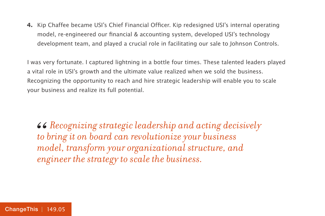**4.** Kip Chaffee became USI's Chief Financial Officer. Kip redesigned USI's internal operating model, re-engineered our financial & accounting system, developed USI's technology development team, and played a crucial role in facilitating our sale to Johnson Controls.

I was very fortunate. I captured lightning in a bottle four times. These talented leaders played a vital role in USI's growth and the ultimate value realized when we sold the business. Recognizing the opportunity to reach and hire strategic leadership will enable you to scale your business and realize its full potential.

*Recognizing strategic leadership and acting decisively to bring it on board can revolutionize your business model, transform your organizational structure, and engineer the strategy to scale the business.* 66<br>*to*<br>mo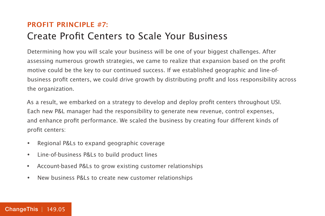#### **PROFIT PRINCIPLE #7:** Create Profit Centers to Scale Your Business

Determining how you will scale your business will be one of your biggest challenges. After assessing numerous growth strategies, we came to realize that expansion based on the profit motive could be the key to our continued success. If we established geographic and line-ofbusiness profit centers, we could drive growth by distributing profit and loss responsibility across the organization.

As a result, we embarked on a strategy to develop and deploy profit centers throughout USI. Each new P&L manager had the responsibility to generate new revenue, control expenses, and enhance profit performance. We scaled the business by creating four different kinds of profit centers:

- Regional P&Ls to expand geographic coverage
- Line-of-business P&Ls to build product lines
- Account-based P&Ls to grow existing customer relationships
- New business P&Ls to create new customer relationships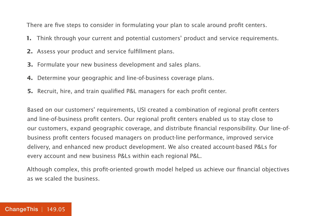There are five steps to consider in formulating your plan to scale around profit centers.

- **1.** Think through your current and potential customers' product and service requirements.
- **2.** Assess your product and service fulfillment plans.
- **3.** Formulate your new business development and sales plans.
- **4.** Determine your geographic and line-of-business coverage plans.
- **5.** Recruit, hire, and train qualified P&L managers for each profit center.

Based on our customers' requirements, USI created a combination of regional profit centers and line-of-business profit centers. Our regional profit centers enabled us to stay close to our customers, expand geographic coverage, and distribute financial responsibility. Our line-ofbusiness profit centers focused managers on product-line performance, improved service delivery, and enhanced new product development. We also created account-based P&Ls for every account and new business P&Ls within each regional P&L.

Although complex, this profit-oriented growth model helped us achieve our financial objectives as we scaled the business.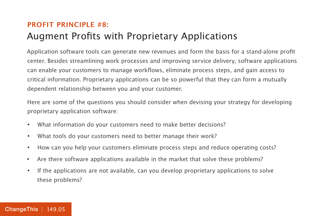### **PROFIT PRINCIPLE #8:** Augment Profits with Proprietary Applications

Application software tools can generate new revenues and form the basis for a stand-alone profit center. Besides streamlining work processes and improving service delivery, software applications can enable your customers to manage workflows, eliminate process steps, and gain access to critical information. Proprietary applications can be so powerful that they can form a mutually dependent relationship between you and your customer.

Here are some of the questions you should consider when devising your strategy for developing proprietary application software:

- What information do your customers need to make better decisions?
- What tools do your customers need to better manage their work?
- How can you help your customers eliminate process steps and reduce operating costs?
- Are there software applications available in the market that solve these problems?
- If the applications are not available, can you develop proprietary applications to solve these problems?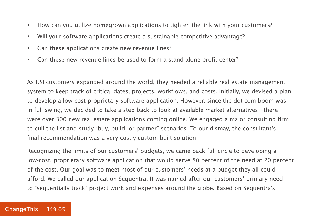- How can you utilize homegrown applications to tighten the link with your customers?
- Will your software applications create a sustainable competitive advantage?
- Can these applications create new revenue lines?
- Can these new revenue lines be used to form a stand-alone profit center?

As USI customers expanded around the world, they needed a reliable real estate management system to keep track of critical dates, projects, workflows, and costs. Initially, we devised a plan to develop a low-cost proprietary software application. However, since the dot-com boom was in full swing, we decided to take a step back to look at available market alternatives—there were over 300 new real estate applications coming online. We engaged a major consulting firm to cull the list and study "buy, build, or partner" scenarios. To our dismay, the consultant's final recommendation was a very costly custom-built solution.

Recognizing the limits of our customers' budgets, we came back full circle to developing a low-cost, proprietary software application that would serve 80 percent of the need at 20 percent of the cost. Our goal was to meet most of our customers' needs at a budget they all could afford. We called our application Sequentra. It was named after our customers' primary need to "sequentially track" project work and expenses around the globe. Based on Sequentra's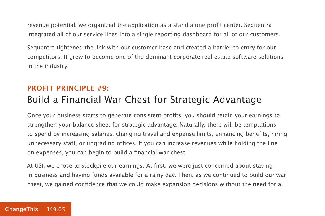revenue potential, we organized the application as a stand-alone profit center. Sequentra integrated all of our service lines into a single reporting dashboard for all of our customers.

Sequentra tightened the link with our customer base and created a barrier to entry for our competitors. It grew to become one of the dominant corporate real estate software solutions in the industry.

#### **PROFIT PRINCIPLE #9:** Build a Financial War Chest for Strategic Advantage

Once your business starts to generate consistent profits, you should retain your earnings to strengthen your balance sheet for strategic advantage. Naturally, there will be temptations to spend by increasing salaries, changing travel and expense limits, enhancing benefits, hiring unnecessary staff, or upgrading offices. If you can increase revenues while holding the line on expenses, you can begin to build a financial war chest.

At USI, we chose to stockpile our earnings. At first, we were just concerned about staying in business and having funds available for a rainy day. Then, as we continued to build our war chest, we gained confidence that we could make expansion decisions without the need for a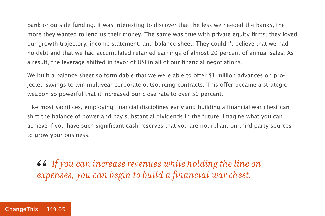bank or outside funding. It was interesting to discover that the less we needed the banks, the more they wanted to lend us their money. The same was true with private equity firms; they loved our growth trajectory, income statement, and balance sheet. They couldn't believe that we had no debt and that we had accumulated retained earnings of almost 20 percent of annual sales. As a result, the leverage shifted in favor of USI in all of our financial negotiations.

We built a balance sheet so formidable that we were able to offer \$1 million advances on projected savings to win multiyear corporate outsourcing contracts. This offer became a strategic weapon so powerful that it increased our close rate to over 50 percent.

Like most sacrifices, employing financial disciplines early and building a financial war chest can shift the balance of power and pay substantial dividends in the future. Imagine what you can achieve if you have such significant cash reserves that you are not reliant on third-party sources to grow your business.

 $\bullet\bullet$  If you can increase revenues while holding the line on expenses, you can begin to build a financial war chest. *expenses, you can begin to build a financial war chest.*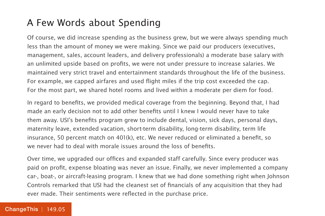# A Few Words about Spending

Of course, we did increase spending as the business grew, but we were always spending much less than the amount of money we were making. Since we paid our producers (executives, management, sales, account leaders, and delivery professionals) a moderate base salary with an unlimited upside based on profits, we were not under pressure to increase salaries. We maintained very strict travel and entertainment standards throughout the life of the business. For example, we capped airfares and used flight miles if the trip cost exceeded the cap. For the most part, we shared hotel rooms and lived within a moderate per diem for food.

In regard to benefits, we provided medical coverage from the beginning. Beyond that, I had made an early decision not to add other benefits until I knew I would never have to take them away. USI's benefits program grew to include dental, vision, sick days, personal days, maternity leave, extended vacation, short-term disability, long-term disability, term life insurance, 50 percent match on 401(k), etc. We never reduced or eliminated a benefit, so we never had to deal with morale issues around the loss of benefits.

Over time, we upgraded our offices and expanded staff carefully. Since every producer was paid on profit, expense bloating was never an issue. Finally, we never implemented a company car-, boat-, or aircraft-leasing program. I knew that we had done something right when Johnson Controls remarked that USI had the cleanest set of financials of any acquisition that they had ever made. Their sentiments were reflected in the purchase price.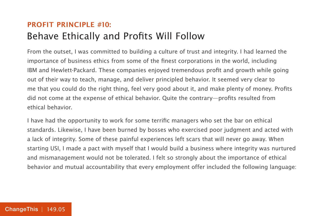#### **PROFIT PRINCIPLE #10:** Behave Ethically and Profits Will Follow

From the outset, I was committed to building a culture of trust and integrity. I had learned the importance of business ethics from some of the finest corporations in the world, including IBM and Hewlett-Packard. These companies enjoyed tremendous profit and growth while going out of their way to teach, manage, and deliver principled behavior. It seemed very clear to me that you could do the right thing, feel very good about it, and make plenty of money. Profits did not come at the expense of ethical behavior. Quite the contrary—profits resulted from ethical behavior.

I have had the opportunity to work for some terrific managers who set the bar on ethical standards. Likewise, I have been burned by bosses who exercised poor judgment and acted with a lack of integrity. Some of these painful experiences left scars that will never go away. When starting USI, I made a pact with myself that I would build a business where integrity was nurtured and mismanagement would not be tolerated. I felt so strongly about the importance of ethical behavior and mutual accountability that every employment offer included the following language: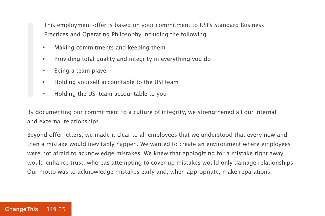This employment offer is based on your commitment to USI's Standard Business Practices and Operating Philosophy including the following:

- Making commitments and keeping them
- Providing total quality and integrity in everything you do
- Being a team player
- Holding yourself accountable to the USI team
- Holding the USI team accountable to you

By documenting our commitment to a culture of integrity, we strengthened all our internal and external relationships.

Beyond offer letters, we made it clear to all employees that we understood that every now and then a mistake would inevitably happen. We wanted to create an environment where employees were not afraid to acknowledge mistakes. We knew that apologizing for a mistake right away would enhance trust, whereas attempting to cover up mistakes would only damage relationships. Our motto was to acknowledge mistakes early and, when appropriate, make reparations.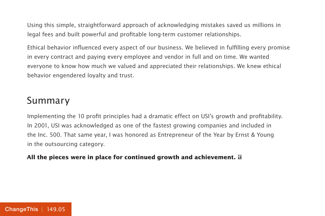Using this simple, straightforward approach of acknowledging mistakes saved us millions in legal fees and built powerful and profitable long-term customer relationships.

Ethical behavior influenced every aspect of our business. We believed in fulfilling every promise in every contract and paying every employee and vendor in full and on time. We wanted everyone to know how much we valued and appreciated their relationships. We knew ethical behavior engendered loyalty and trust.

## Summary

Implementing the 10 profit principles had a dramatic effect on USI's growth and profitability. In 2001, USI was acknowledged as one of the fastest growing companies and included in the Inc. 500. That same year, I was honored as Entrepreneur of the Year by Ernst & Young in the outsourcing category.

#### **All the pieces were in place for continued growth and achievement.**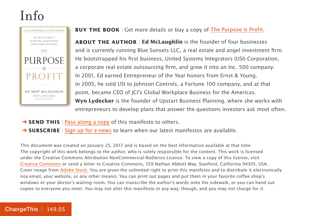# Info



#### **BUY THE BOOK** | Get more details or buy a copy of [The Purpose is Profit](https://800ceoread.com/products/purpose-is-profit-ed-skip-mc-laughlin-wyn-lydecker-english?selected=651786).

**ABOUT THE AUTHOR** | **Ed McLaughlin** is the founder of four businesses and is currently running Blue Sunsets LLC, a real estate and angel investment firm. He bootstrapped his first business, United Systems Integrators (USI) Corporation, a corporate real estate outsourcing firm, and grew it into an Inc. 500 company. In 2001, Ed earned Entrepreneur of the Year honors from Ernst & Young. In 2005, he sold USI to Johnson Controls, a Fortune 100 company, and at that point, became CEO of JCI's Global Workplace Business for the Americas. **Wyn Lydecker** is the founder of Upstart Business Planning, where she works with entrepreneurs to develop plans that answer the questions investors ask most often.

- **→ SEND THIS** | [Pass along a copy](http://www.changethis.com/149.05.PurposeProfit/email) of this manifesto to others.
- **→ SUBSCRIBE** | [Sign up for e-news](http://changethis.com/page/show/e_mail_newsletter) to learn when our latest manifestos are available.

This document was created on January 25, 2017 and is based on the best information available at that time. The copyright of this work belongs to the author, who is solely responsible for the content. This work is licensed under the Creative Commons Attribution-NonCommercial-NoDerivs License. To view a copy of this license, visit [Creative Commons](http://creativecommons.org/licenses/by-nc-nd/2.0/) or send a letter to Creative Commons, 559 Nathan Abbott Way, Stanford, California 94305, USA. Cover image from [Adobe Stock.](https://stock.adobe.com) You are given the unlimited right to print this manifesto and to distribute it electronically (via email, your website, or any other means). You can print out pages and put them in your favorite coffee shop's windows or your doctor's waiting room. You can transcribe the author's words onto the sidewalk, or you can hand out copies to everyone you meet. You may not alter this manifesto in any way, though, and you may not charge for it.